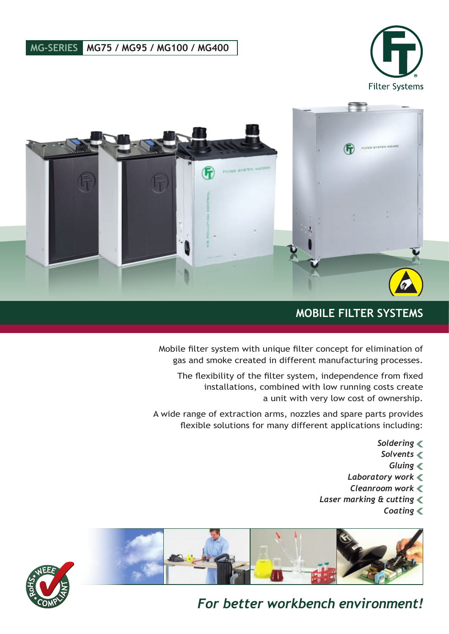### **MG-SERIES MG75 / MG95 / MG100 / MG400**





### **MOBILE FILTER SYSTEMS**

Mobile filter system with unique filter concept for elimination of gas and smoke created in different manufacturing processes.

The flexibility of the filter system, independence from fixed installations, combined with low running costs create a unit with very low cost of ownership.

A wide range of extraction arms, nozzles and spare parts provides flexible solutions for many different applications including:

- *Soldering*
- *Solvents*
	- *Gluing*
- *Laboratory work*
- *Cleanroom work*
- *Laser marking & cutting*
	- *Coating*





## *For better workbench environment!*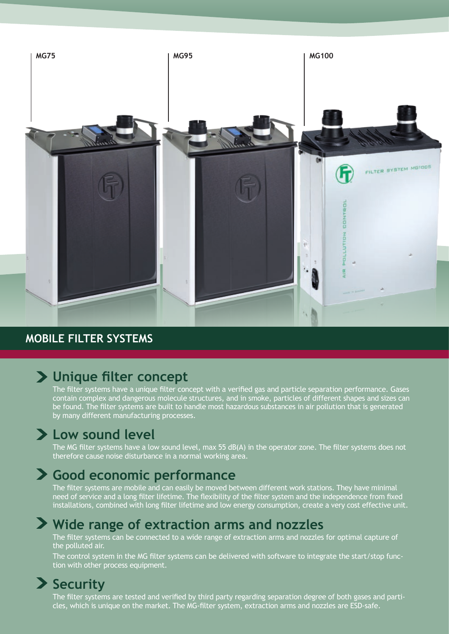

### **MOBILE FILTER SYSTEMS**

## **Unique filter concept**

The filter systems have a unique filter concept with a verified gas and particle separation performance. Gases contain complex and dangerous molecule structures, and in smoke, particles of different shapes and sizes can be found. The filter systems are built to handle most hazardous substances in air pollution that is generated by many different manufacturing processes.

## **Low sound level**

The MG filter systems have a low sound level, max 55 dB(A) in the operator zone. The filter systems does not therefore cause noise disturbance in a normal working area.

## **Good economic performance**

The filter systems are mobile and can easily be moved between different work stations. They have minimal need of service and a long filter lifetime. The flexibility of the filter system and the independence from fixed installations, combined with long filter lifetime and low energy consumption, create a very cost effective unit.

## **Wide range of extraction arms and nozzles**

The filter systems can be connected to a wide range of extraction arms and nozzles for optimal capture of the polluted air.

The control system in the MG filter systems can be delivered with software to integrate the start/stop function with other process equipment.

## **Security**

The filter systems are tested and verified by third party regarding separation degree of both gases and particles, which is unique on the market. The MG-filter system, extraction arms and nozzles are ESD-safe.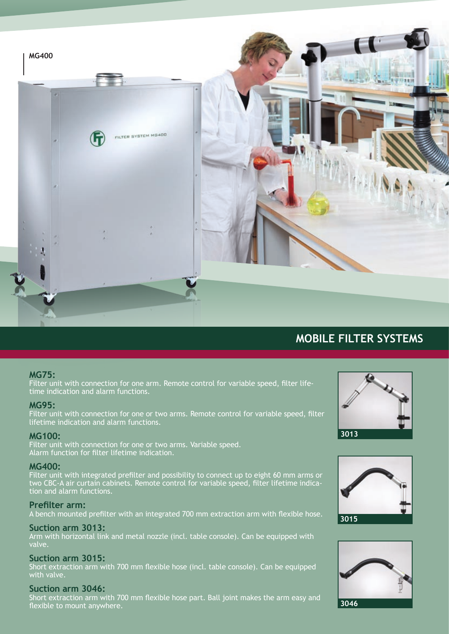

### **MOBILE FILTER SYSTEMS**

#### **MG75:**

Filter unit with connection for one arm. Remote control for variable speed, filter lifetime indication and alarm functions.

#### **MG95:**

Filter unit with connection for one or two arms. Remote control for variable speed, filter lifetime indication and alarm functions.

#### **MG100:**

Filter unit with connection for one or two arms. Variable speed. Alarm function for filter lifetime indication.

#### **MG400:**

Filter unit with integrated prefilter and possibility to connect up to eight 60 mm arms or two CBC-A air curtain cabinets. Remote control for variable speed, filter lifetime indication and alarm functions.

#### **Prefilter arm:**

A bench mounted prefilter with an integrated 700 mm extraction arm with flexible hose.

#### **Suction arm 3013:**

Arm with horizontal link and metal nozzle (incl. table console). Can be equipped with valve.

#### **Suction arm 3015:**

Short extraction arm with 700 mm flexible hose (incl. table console). Can be equipped with valve.

#### **Suction arm 3046:**

Short extraction arm with 700 mm flexible hose part. Ball joint makes the arm easy and flexible to mount anywhere.